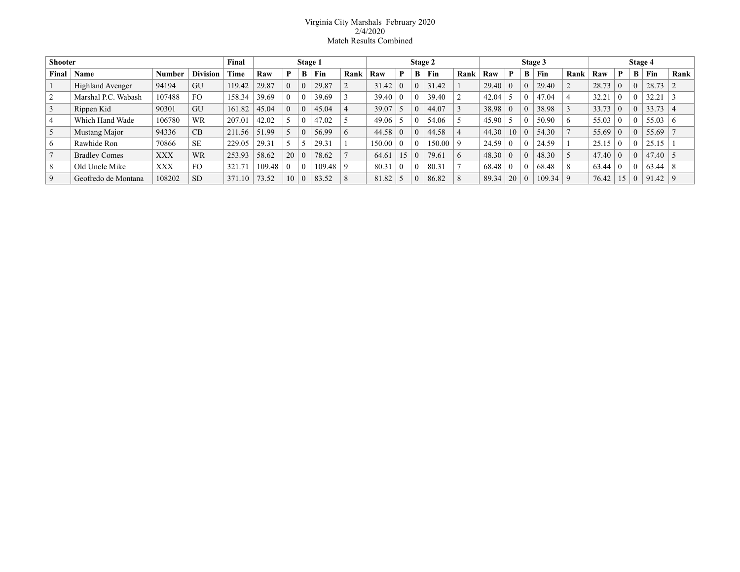## Virginia City Marshals February 2020 2/4/2020 Match Results Combined

| <b>Shooter</b> |                         |               |                 | Final  | Stage 1 |          |   |        | Stage 2  |        |          |          |        | Stage 3      |                |                |          | Stage 4 |             |       |             |   |       |                |
|----------------|-------------------------|---------------|-----------------|--------|---------|----------|---|--------|----------|--------|----------|----------|--------|--------------|----------------|----------------|----------|---------|-------------|-------|-------------|---|-------|----------------|
| Final          | Name                    | <b>Number</b> | <b>Division</b> | Time   | Raw     | P        | B | Fin    | Rank     | Raw    | P        | B        | Fin    | Rank         | Raw            | P              | B        | Fin     | Rank        | Raw   | D           | В | Fin   | Rank           |
|                | <b>Highland Avenger</b> | 94194         | GU              | 119.42 | 29.87   | $\theta$ |   | 29.87  |          | 31.42  | $\Omega$ | $\theta$ | 31.42  |              | 29.40          | $\overline{0}$ | $\theta$ | 29.40   |             | 28.73 |             |   | 28.73 |                |
|                | Marshal P.C. Wabash     | 107488        | F <sub>O</sub>  | 158.34 | 39.69   | 0.       |   | 39.69  |          | 39.40  | $\Omega$ |          | 39.40  |              | 42.04          |                | $\theta$ | 47.04   |             | 32.21 |             |   | 32.21 |                |
|                | Rippen Kid              | 90301         | GU              | 161.82 | 45.04   | $\theta$ |   | 45.04  |          | 39.07  |          |          | 44.07  |              | 38.98          | $\overline{0}$ | $\theta$ | 38.98   |             | 33.73 |             |   | 33.73 | $\overline{4}$ |
| $\overline{4}$ | Which Hand Wade         | 106780        | WR              | 207.01 | 42.02   |          |   | 47.02  |          | 49.06  |          |          | 54.06  |              | 45.90          |                | $\Omega$ | 50.90   | 6           | 55.03 |             |   | 55.03 | -6             |
| 5              | Mustang Major           | 94336         | CB              | 211.56 | 51.99   |          |   | 56.99  | $\sigma$ | 44.58  | $\Omega$ |          | 44.58  |              | 44.30          | 10             | $\theta$ | 54.30   |             | 55.69 |             |   | 55.69 |                |
| 6              | Rawhide Ron             | 70866         | <b>SE</b>       | 229.05 | 29.31   |          |   | 29.31  |          | 150.00 | $\Omega$ |          | 150.00 |              | 24.59          | $\Omega$       | $\Omega$ | 24.59   |             | 25.15 |             |   | 25.15 |                |
|                | <b>Bradley Comes</b>    | <b>XXX</b>    | <b>WR</b>       | 253.93 | 58.62   | 20       |   | 78.62  |          | 64.61  | 15       |          | 79.61  | $\mathbf{b}$ | $48.30 \mid 0$ |                | $\theta$ | 48.30   |             | 47.40 | $\Omega$    |   | 47.40 | l 5            |
| 8              | Old Uncle Mike          | <b>XXX</b>    | F <sub>O</sub>  | 321.71 | 109.48  | 0.       |   | 109.48 |          | 80.31  | $\theta$ |          | 80.31  |              | 68.48          | $\overline{0}$ | $\theta$ | 68.48   | 8           | 63.44 |             |   | 63.44 | 8              |
| 9              | Geofredo de Montana     | 108202        | <b>SD</b>       | 371.10 | 73.52   | 10       |   | 83.52  |          | 81.82  |          |          | 86.82  |              | 89.34          |                | $\Omega$ | 109.34  | $\mathbf Q$ | 76.42 | $\varsigma$ |   | 91.42 | -9             |